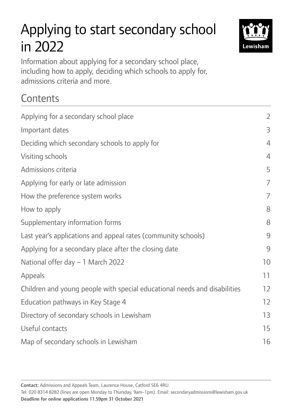# Applying to start secondary school in 2022



Information about applying for a secondary school place, including how to apply, deciding which schools to apply for, admissions criteria and more.

## **Contents**

| Applying for a secondary school place                                     | $\overline{2}$ |
|---------------------------------------------------------------------------|----------------|
| Important dates                                                           | 3              |
| Deciding which secondary schools to apply for                             | $\overline{4}$ |
| Visiting schools                                                          | $\overline{4}$ |
| Admissions criteria                                                       | 5              |
| Applying for early or late admission                                      | $\overline{7}$ |
| How the preference system works                                           | $\overline{7}$ |
| How to apply                                                              | 8              |
| Supplementary information forms                                           | 8              |
| Last year's applications and appeal rates (community schools)             | 9              |
| Applying for a secondary place after the closing date                     | 9              |
| National offer day - 1 March 2022                                         | 10             |
| <b>Appeals</b>                                                            | 11             |
| Children and young people with special educational needs and disabilities | 12             |
| Education pathways in Key Stage 4                                         | 12             |
| Directory of secondary schools in Lewisham                                | 13             |
| Useful contacts                                                           | 15             |
| Map of secondary schools in Lewisham                                      | 16             |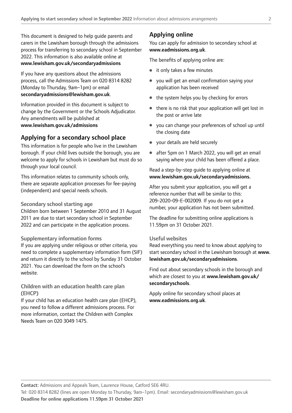This document is designed to help guide parents and carers in the Lewisham borough through the admissions process for transferring to secondary school in September 2022. This information is also available online at [www.lewisham.gov.uk/secondaryadmissions](http://www.lewisham.gov.uk/secondaryadmissions)

If you have any questions about the admissions process, call the Admissions Team on 020 8314 8282 (Monday to Thursday, 9am–1pm) or email [secondaryadmissions@lewisham.gov.uk](mailto:secondaryadmissions%40lewisham.gov.uk?subject=).

Information provided in this document is subject to change by the Government or the Schools Adjudicator. Any amendments will be published at [www.lewisham.gov.uk/admissions](http://www.lewisham.gov.uk/admissions)

## Applying for a secondary school place

This information is for people who live in the Lewisham borough. If your child lives outside the borough, you are welcome to apply for schools in Lewisham but must do so through your local council.

This information relates to community schools only, there are separate application processes for fee-paying (independent) and special needs schools.

#### Secondary school starting age

Children born between 1 September 2010 and 31 August 2011 are due to start secondary school in September 2022 and can participate in the application process.

#### Supplementary information forms

If you are applying under religious or other criteria, you need to complete a supplementary information form (SIF) and return it directly to the school by Sunday 31 October 2021. You can download the form on the school's website.

## Children with an education health care plan (EHCP)

If your child has an education health care plan (EHCP), you need to follow a different admissions process. For more information, contact the Children with Complex Needs Team on 020 3049 1475.

## Applying online

You can apply for admission to secondary school at [www.eadmissions.org.uk](http://www.eadmissions.org.uk).

The benefits of applying online are:

- it only takes a few minutes
- you will get an email confrmation saying your application has been received
- the system helps you by checking for errors
- there is no risk that your application will get lost in the post or arrive late
- you can change your preferences of school up until the closing date
- your details are held securely
- after 5pm on 1 March 2022, you will get an email saying where your child has been offered a place.

Read a step-by-step guide to applying online at <www.lewisham.gov.uk/secondaryadmissions>.

After you submit your application, you will get a reference number that will be similar to this: 209-2020-09-E-002009. If you do not get a number, your application has not been submitted.

The deadline for submitting online applications is 11.59pm on 31 October 2021.

## Useful websites

Read everything you need to know about applying to start secondary school in the Lewisham borough at [www.](http://www.lewisham.gov.uk/secondaryadmissions) [lewisham.gov.uk/secondaryadmissions](http://www.lewisham.gov.uk/secondaryadmissions).

Find out about secondary schools in the borough and which are closest to you at [www.lewisham.gov.uk/](http://www.lewisham.gov.uk/secondaryschools) [secondaryschools](http://www.lewisham.gov.uk/secondaryschools).

Apply online for secondary school places at [www.eadmissions.org.uk](http://www.eadmissions.org.uk).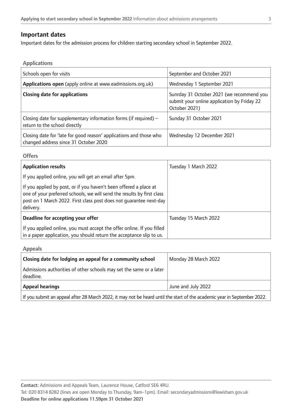## Important dates

Important dates for the admission process for children starting secondary school in September 2022.

Applications

| Schools open for visits                                                                                     | September and October 2021                                                                                |
|-------------------------------------------------------------------------------------------------------------|-----------------------------------------------------------------------------------------------------------|
| Applications open (apply online at www.eadmissions.org.uk)                                                  | Wednesday 1 September 2021                                                                                |
| <b>Closing date for applications</b>                                                                        | Sunrday 31 October 2021 (we recommend you<br>submit your online application by Friday 22<br>October 2021) |
| Closing date for supplementary information forms (if required) $-$<br>return to the school directly         | Sunday 31 October 2021                                                                                    |
| Closing date for 'late for good reason' applications and those who<br>changed address since 31 October 2020 | Wednesday 12 December 2021                                                                                |

#### **Offers**

| <b>Application results</b>                                                                                                                                                                                                     | Tuesday 1 March 2022  |
|--------------------------------------------------------------------------------------------------------------------------------------------------------------------------------------------------------------------------------|-----------------------|
| If you applied online, you will get an email after 5pm.                                                                                                                                                                        |                       |
| If you applied by post, or if you haven't been offered a place at<br>one of your preferred schools, we will send the results by first class<br>post on 1 March 2022. First class post does not quarantee next-day<br>delivery. |                       |
| Deadline for accepting your offer                                                                                                                                                                                              | Tuesday 15 March 2022 |
| If you applied online, you must accept the offer online. If you filled<br>in a paper application, you should return the acceptance slip to us.                                                                                 |                       |

Appeals

| Closing date for lodging an appeal for a community school                        | Monday 28 March 2022 |
|----------------------------------------------------------------------------------|----------------------|
| Admissions authorities of other schools may set the same or a later<br>deadline. |                      |
| <b>Appeal hearings</b>                                                           | June and July 2022   |

If you submit an appeal after 28 March 2022, it may not be heard until the start of the academic year in September 2022.

Contact: Admissions and Appeals Team, Laurence House, Catford SE6 4RU.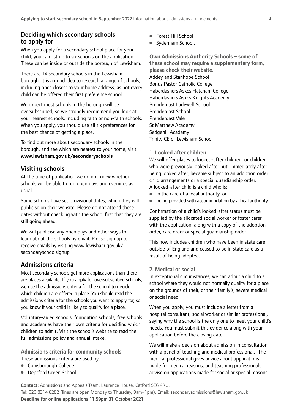## Deciding which secondary schools to apply for

When you apply for a secondary school place for your child, you can list up to six schools on the application. These can be inside or outside the borough of Lewisham.

There are 14 secondary schools in the Lewisham borough. It is a good idea to research a range of schools, including ones closest to your home address, as not every child can be offered their frst preference school.

We expect most schools in the borough will be oversubscribed, so we strongly recommend you look at your nearest schools, including faith or non-faith schools. When you apply, you should use all six preferences for the best chance of getting a place.

To find out more about secondary schools in the borough, and see which are nearest to your home, visit <www.lewisham.gov.uk/secondaryschools>

## Visiting schools

At the time of publication we do not know whether schools will be able to run open days and evenings as usual.

Some schools have set provisional dates, which they will publicise on their website. Please do not attend these dates without checking with the school first that they are still going ahead.

We will publicise any open days and other ways to learn about the schools by email. Please sign up to receive emails by visiting [www.lewisham.gov.uk/](www.lewisham.gov.uk) secondaryschoolsignup

## Admissions criteria

Most secondary schools get more applications than there are places available. If you apply for oversubscribed schools, we use the admissions criteria for the school to decide which children are offered a place. You should read the admissions criteria for the schools you want to apply for, so you know if your child is likely to qualify for a place.

Voluntary-aided schools, foundation schools, free schools and academies have their own criteria for deciding which children to admit. Visit the school's website to read the full admissions policy and annual intake.

Admissions criteria for community schools These admissions criteria are used by:

- Conisborough College
- Deptford Green School
- Forest Hill School
- Sydenham School.

Own Admissions Authority Schools – some of these school may require a supplementary form, please check their website. Addey and Stanhope School Bonus Pastor Catholic College Haberdashers Askes Hatcham College Haberdashers Askes Knights Academy Prendergast Ladywell School Prendergast School Prendergast Vale St Matthew Academy Sedgehill Academy Trinity CE of Lewisham School

## 1. Looked after children

We will offer places to looked-after children, or children who were previously looked after but, immediately after being looked after, became subject to an adoption order, child arrangements or a special guardianship order. A looked-after child is a child who is:

- in the care of a local authority, or
- being provided with accommodation by a local authority.

Confrmation of a child's looked-after status must be supplied by the allocated social worker or foster carer with the application, along with a copy of the adoption order, care order or special guardianship order.

This now includes children who have been in state care outside of England and ceased to be in state care as a result of being adopted.

## 2. Medical or social

In exceptional circumstances, we can admit a child to a school where they would not normally qualify for a place on the grounds of their, or their family's, severe medical or social need.

When you apply, you must include a letter from a hospital consultant, social worker or similar professional, saying why the school is the only one to meet your child's needs. You must submit this evidence along with your application before the closing date.

We will make a decision about admission in consultation with a panel of teaching and medical professionals. The medical professional gives advice about applications made for medical reasons, and teaching professionals advise on applications made for social or special reasons.

Contact: Admissions and Appeals Team, Laurence House, Catford SE6 4RU.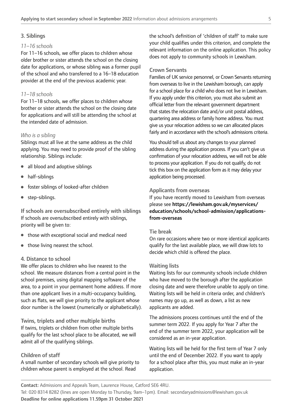## 3. Siblings

## *11–16 schools*

For 11–16 schools, we offer places to children whose older brother or sister attends the school on the closing date for applications, or whose sibling was a former pupil of the school and who transferred to a 16–18 education provider at the end of the previous academic year.

## *11–18 schools*

For 11–18 schools, we offer places to children whose brother or sister attends the school on the closing date for applications and will still be attending the school at the intended date of admission.

## *Who is a sibling*

Siblings must all live at the same address as the child applying. You may need to provide proof of the sibling relationship. Siblings include:

- all blood and adoptive siblings
- half-siblings
- foster siblings of looked-after children
- step-siblings.

If schools are oversubscribed entirely with siblings If schools are oversubscribed entirely with siblings, priority will be given to:

- those with exceptional social and medical need
- those living nearest the school.

#### 4. Distance to school

We offer places to children who live nearest to the school. We measure distances from a central point in the school premises, using digital mapping software of the area, to a point in your permanent home address. If more than one applicant lives in a multi-occupancy building, such as fats, we will give priority to the applicant whose door number is the lowest (numerically or alphabetically).

Twins, triplets and other multiple births If twins, triplets or children from other multiple births qualify for the last school place to be allocated, we will admit all of the qualifying siblings.

#### Children of staff

A small number of secondary schools will give priority to children whose parent is employed at the school. Read

the school's defnition of 'children of staff' to make sure your child qualifes under this criterion, and complete the relevant information on the online application. This policy does not apply to community schools in Lewisham.

#### Crown Servants

Families of UK service personnel, or Crown Servants returning from overseas to live in the Lewisham borough, can apply for a school place for a child who does not live in Lewisham. If you apply under this criterion, you must also submit an official letter from the relevant government department that states the relocation date and/or unit postal address, quartering area address or family home address. You must give us your relocation address so we can allocated places fairly and in accordance with the school's admissions criteria.

You should tell us about any changes to your planned address during the application process. If you can't give us confrmation of your relocation address, we will not be able to process your application. If you do not qualify, do not tick this box on the application form as it may delay your application being processed.

## Applicants from overseas

If you have recently moved to Lewisham from overseas please see [https://lewisham.gov.uk/myservices/](https://lewisham.gov.uk/myservices/education/schools/school-admission/applications-from-overseas)  [education/schools/school-admission/applications](https://lewisham.gov.uk/myservices/education/schools/school-admission/applications-from-overseas)[from-overseas](https://lewisham.gov.uk/myservices/education/schools/school-admission/applications-from-overseas)

#### Tie break

On rare occasions where two or more identical applicants qualify for the last available place, we will draw lots to decide which child is offered the place.

#### Waiting lists

Waiting lists for our community schools include children who have moved to the borough after the application closing date and were therefore unable to apply on time. Waiting lists will be held in criteria order, and children's names may go up, as well as down, a list as new applicants are added.

The admissions process continues until the end of the summer term 2022. If you apply for Year 7 after the end of the summer term 2022, your application will be considered as an in-year application.

Waiting lists will be held for the first term of Year 7 only until the end of December 2022. If you want to apply for a school place after this, you must make an in-year application.

Contact: Admissions and Appeals Team, Laurence House, Catford SE6 4RU.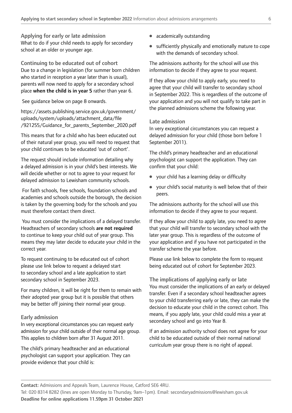Applying for early or late admission What to do if your child needs to apply for secondary school at an older or younger age.

Continuing to be educated out of cohort Due to a change in legislation (for summer born children who started in reception a year later than is usual), parents will now need to apply for a secondary school place when the child is in year 5 rather than year 6.

See guidance below on page 8 onwards.

[https://assets.publishing.service.gov.uk/government/](https://assets.publishing.service.gov.uk/government/uploads/system/uploads/attachment_data/file/921255/Guidance_for_parents_September_2020.pdf) [uploads/system/uploads/attachment\\_data/fle](https://assets.publishing.service.gov.uk/government/uploads/system/uploads/attachment_data/file/921255/Guidance_for_parents_September_2020.pdf)  [/921255/Guidance\\_for\\_parents\\_September\\_2020.pdf](https://assets.publishing.service.gov.uk/government/uploads/system/uploads/attachment_data/file/921255/Guidance_for_parents_September_2020.pdf)

This means that for a child who has been educated out of their natural year group, you will need to request that your child continues to be educated 'out of cohort'.

The request should include information detailing why a delayed admission is in your child's best interests. We will decide whether or not to agree to your request for delayed admission to Lewisham community schools.

 For faith schools, free schools, foundation schools and academies and schools outside the borough, the decision is taken by the governing body for the schools and you must therefore contact them direct.

You must consider the implications of a delayed transfer. Headteachers of secondary schools are not required to continue to keep your child out of year group. This means they may later decide to educate your child in the correct year.

To request continuing to be educated out of cohort please use link below to request a delayed start to secondary school and a late application to start secondary school in September 2023.

For many children, it will be right for them to remain with their adopted year group but it is possible that others may be better off joining their normal year group.

## Early admission

In very exceptional circumstances you can request early admission for your child outside of their normal age group. This applies to children born after 31 August 2011.

The child's primary headteacher and an educational psychologist can support your application. They can provide evidence that your child is:

- academically outstanding
- sufficiently physically and emotionally mature to cope with the demands of secondary school.

The admissions authority for the school will use this information to decide if they agree to your request.

If they allow your child to apply early, you need to agree that your child will transfer to secondary school in September 2022. This is regardless of the outcome of your application and you will not qualify to take part in the planned admissions scheme the following year.

#### Late admission

In very exceptional circumstances you can request a delayed admission for your child (those born before 1 September 2011).

The child's primary headteacher and an educational psychologist can support the application. They can confrm that your child:

- your child has a learning delay or difficulty
- your child's social maturity is well below that of their peers.

The admissions authority for the school will use this information to decide if they agree to your request.

If they allow your child to apply late, you need to agree that your child will transfer to secondary school with the later year group. This is regardless of the outcome of your application and if you have not participated in the transfer scheme the year before.

Please use link below to complete the form to request being educated out of cohort for September 2023.

The implications of applying early or late You must consider the implications of an early or delayed transfer. Even if a secondary school headteacher agrees to your child transferring early or late, they can make the decision to educate your child in the correct cohort. This means, if you apply late, your child could miss a year at secondary school and go into Year 8.

If an admission authority school does not agree for your child to be educated outside of their normal national curriculum year group there is no right of appeal.

Contact: Admissions and Appeals Team, Laurence House, Catford SE6 4RU.

Tel: 020 8314 8282 (lines are open Monday to Thursday, 9am–1pm). Email: [secondaryadmissions@lewisham.gov.uk](mailto:secondaryadmissions%40lewisham.gov.uk?subject=) Deadline for online applications 11.59pm 31 October 2021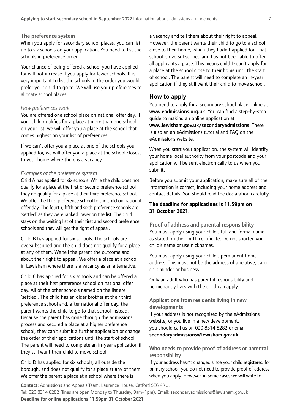#### The preference system

When you apply for secondary school places, you can list up to six schools on your application. You need to list the schools in preference order.

Your chance of being offered a school you have applied for will not increase if you apply for fewer schools. It is very important to list the schools in the order you would prefer your child to go to. We will use your preferences to allocate school places.

## *How preferences work*

You are offered one school place on national offer day. If your child qualifes for a place at more than one school on your list, we will offer you a place at the school that comes highest on your list of preferences.

If we can't offer you a place at one of the schools you applied for, we will offer you a place at the school closest to your home where there is a vacancy.

## *Examples of the preference system*

Child A has applied for six schools. While the child does not qualify for a place at the frst or second preference school they do qualify for a place at their third preference school. We offer the third preference school to the child on national offer day. The fourth, ffth and sixth preference schools are 'settled' as they were ranked lower on the list. The child stays on the waiting list of their first and second preference schools and they will get the right of appeal.

Child B has applied for six schools. The schools are oversubscribed and the child does not qualify for a place at any of them. We tell the parent the outcome and about their right to appeal. We offer a place at a school in Lewisham where there is a vacancy as an alternative.

Child C has applied for six schools and can be offered a place at their frst preference school on national offer day. All of the other schools named on the list are 'settled'. The child has an older brother at their third preference school and, after national offer day, the parent wants the child to go to that school instead. Because the parent has gone through the admissions process and secured a place at a higher preference school, they can't submit a further application or change the order of their applications until the start of school. The parent will need to complete an in-year application if they still want their child to move school.

Child D has applied for six schools, all outside the borough, and does not qualify for a place at any of them. We offer the parent a place at a school where there is

a vacancy and tell them about their right to appeal. However, the parent wants their child to go to a school close to their home, which they hadn't applied for. That school is oversubscribed and has not been able to offer all applicants a place. This means child D can't apply for a place at the school close to their home until the start of school. The parent will need to complete an in-year application if they still want their child to move school.

## How to apply

You need to apply for a secondary school place online at <www.eadmissions.org.uk>. You can find a step-by-step guide to making an online application at <www.lewisham.gov.uk/secondaryadmissions>. There is also an an eAdmissions tutorial and FAQ on the eAdmissions website.

When you start your application, the system will identify your home local authority from your postcode and your application will be sent electronically to us when you submit.

Before you submit your application, make sure all of the information is correct, including your home address and contact details. You should read the declaration carefully.

## **The deadline for applications is 11.59pm on 31 October 2021.**

Proof of address and parental responsibility You must apply using your child's full and formal name as stated on their birth certificate. Do not shorten your child's name or use nicknames.

You must apply using your child's permanent home address. This must not be the address of a relative, carer, childminder or business.

Only an adult who has parental responsibility and permenantly lives with the child can apply.

## Applications from residents living in new developments

If your address is not recognised by the eAdmissions website, or you live in a new development, you should call us on 020 8314 8282 or email [secondaryadmissions@lewisham.gov.uk](mailto:secondaryadmissions%40lewisham.gov.uk?subject=).

## Who needs to provide proof of address or parental responsibility

If your address hasn't changed since your child registered for primary school, you do not need to provide proof of address when you apply. However, in some cases we will write to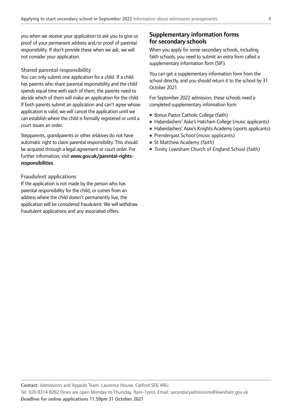you when we receive your application to ask you to give us proof of your permanent address and/or proof of parental responsibility. If don't provide these when we ask, we will not consider your application.

## Shared parental responsibility

You can only submit one application for a child. If a child has parents who share parental responsibility and the child spends equal time with each of them, the parents need to decide which of them will make an application for the child. If both parents submit an application and can't agree whose application is valid, we will cancel the application until we can establish where the child is formally registered or until a court issues an order.

Stepparents, grandparents or other relatives do not have automatic right to claim parental responsibility. This should be acquired through a legal agreement or court order. For further information, visit [www.gov.uk/parental-rights](http://www.gov.uk/parental-rights-responsibilities)[responsibilities](http://www.gov.uk/parental-rights-responsibilities).

## Fraudulent applications

If the application is not made by the person who has parental responsibility for the child, or comes from an address where the child doesn't permanently live, the application will be considered fraudulent. We will withdraw fraudulent applications and any associated offers.

## Supplementary information forms for secondary schools

When you apply for some secondary schools, including faith schools, you need to submit an extra form called a supplementary information form (SIF).

You can get a supplementary information form from the school directly, and you should return it to the school by 31 October 2021.

For September 2022 admission, these schools need a completed supplementary information form:

- Bonus Pastor Catholic College (faith)
- Haberdashers' Aske's Hatcham College (music applicants)
- Haberdashers' Aske's Knights Academy (sports applicants)
- Prendergast School (music applicants)
- St Matthew Academy (faith)
- Trinity Lewisham Church of England School (faith)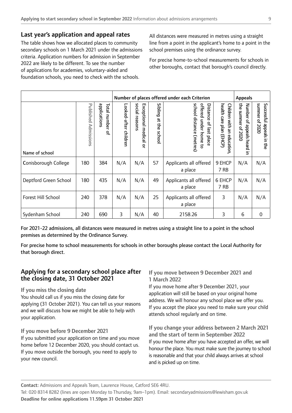## Last year's application and appeal rates

The table shows how we allocated places to community secondary schools on 1 March 2021 under the admissions criteria. Application numbers for admission in September 2022 are likely to be different. To see the number of applications for academies, voluntary-aided and foundation schools, you need to check with the schools.

All distances were measured in metres using a straight line from a point in the applicant's home to a point in the school premises using the ordinance survey.

For precise home-to-school measurements for schools in other boroughs, contact that borough's council directly.

|                       |                                |                                            | Number of places offered under each Criterion |                                                                      |                                                                         |                                                                                                               |                                                            | <b>Appeals</b>                                            |                                             |
|-----------------------|--------------------------------|--------------------------------------------|-----------------------------------------------|----------------------------------------------------------------------|-------------------------------------------------------------------------|---------------------------------------------------------------------------------------------------------------|------------------------------------------------------------|-----------------------------------------------------------|---------------------------------------------|
| Name of school        | Published<br><b>Admissions</b> | applications<br><b>lota</b><br>number<br>ዹ | Looked-after<br>children                      | <b>Social</b><br>Exceptional<br>reasons<br>medical<br>$\overline{a}$ | <b>Sibling</b><br>$\overline{a}$<br>$\Rightarrow$<br>ወ<br><b>school</b> | school distance (metres)<br>offered<br>Distance<br>under home to<br>$\overline{\mathcal{C}}$<br>last<br>place | health care plan (EHCP)<br>Children with<br>Ξ<br>education | the summer of 2020<br>Number of<br>speeals<br>heard<br>Ξ. | summer of 2020<br>Successful appeals in the |
| Conisborough College  | 180                            | 384                                        | N/A                                           | N/A                                                                  | 57                                                                      | Applicants all offered<br>a place                                                                             | 9 EHCP<br>7 RB                                             | N/A                                                       | N/A                                         |
| Deptford Green School | 180                            | 435                                        | N/A                                           | N/A                                                                  | 49                                                                      | Applicants all offered<br>a place                                                                             | 6 EHCP<br>7 RB                                             | N/A                                                       | N/A                                         |
| Forest Hill School    | 240                            | 378                                        | N/A                                           | N/A                                                                  | 25                                                                      | Applicants all offered<br>a place                                                                             | 3                                                          | N/A                                                       | N/A                                         |
| Sydenham School       | 240                            | 690                                        | 3                                             | N/A                                                                  | 40                                                                      | 2158.26                                                                                                       | 3                                                          | 6                                                         | 0                                           |

For 2021-22 admissions, all distances were measured in metres using a straight line to a point in the school premises as determined by the Ordinance Survey.

For precise home to school measurements for schools in other boroughs please contact the Local Authority for that borough direct.

## Applying for a secondary school place after the closing date, 31 October 2021

## If you miss the closing date

You should call us if you miss the closing date for applying (31 October 2021). You can tell us your reasons and we will discuss how we might be able to help with your application.

## If you move before 9 December 2021

If you submitted your application on time and you move home before 12 December 2020, you should contact us. If you move outside the borough, you need to apply to your new council.

## If you move between 9 December 2021 and 1 March 2022

If you move home after 9 December 2021, your application will still be based on your original home address. We will honour any school place we offer you. If you accept the place you need to make sure your child attends school regularly and on time.

If you change your address between 2 March 2021 and the start of term in September 2022 If you move home after you have accepted an offer, we will honour the place. You must make sure the journey to school is reasonable and that your child always arrives at school and is picked up on time.

Tel: 020 8314 8282 (lines are open Monday to Thursday, 9am–1pm). Email: [secondaryadmissions@lewisham.gov.uk](mailto:secondaryadmissions%40lewisham.gov.uk?subject=) Deadline for online applications 11.59pm 31 October 2021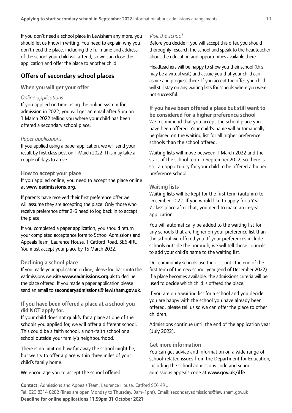If you don't need a school place in Lewisham any more, you should let us know in writing. You need to explain why you don't need the place, including the full name and address of the school your child will attend, so we can close the application and offer the place to another child.

## Offers of secondary school places

## When you will get your offer

#### *Online applications*

If you applied on time using the online system for admission in 2022, you will get an email after 5pm on 1 March 2022 telling you where your child has been offered a secondary school place.

## *Paper applications*

If you applied using a paper application, we will send your result by first class post on 1 March 2022. This may take a couple of days to arrive.

## How to accept your place

If you applied online, you need to accept the place online at [www.eadmissions.org](http://www.eadmissions.org).

If parents have received their frst preference offer we will assume they are accepting the place. Only those who receive preference offer 2-6 need to log back in to accept the place.

If you completed a paper application, you should return your completed acceptance form to School Admissions and Appeals Team, Laurence House, 1 Catford Road, SE6 4RU. You must accept your place by 15 March 2022.

## Declining a school place

If you made your application on line, please log back into the eadmissions website [www.eadmissions.org.uk](http://www.eadmissions.org.uk) to decline the place offered. If you made a paper application please send an email to [secondaryadmissions@ lewisham.gov.uk](mailto:secondaryadmissions%40%20lewisham.gov.uk?subject=).

If you have been offered a place at a school you did NOT apply for.

If your child does not qualify for a place at one of the schools you applied for, we will offer a different school. This could be a faith school, a non-faith school or a school outside your family's neighbourhood.

There is no limit on how far away the school might be, but we try to offer a place within three miles of your child's family home.

We encourage you to accept the school offered.

#### *Visit the school*

Before you decide if you will accept this offer, you should thoroughly research the school and speak to the headteacher about the education and opportunities available there.

Headteachers will be happy to show you their school (this may be a virtual visit) and assure you that your child can aspire and progress there. If you accept the offer, you child will still stay on any waiting lists for schools where you were not successful.

If you have been offered a place but still want to be considered for a higher preference school We recommend that you accept the school place you have been offered. Your child's name will automatically be placed on the waiting list for all higher preference schools than the school offered.

Waiting lists will move between 1 March 2022 and the start of the school term in September 2022, so there is still an opportunity for your child to be offered a higher preference school.

#### Waiting lists

Waiting lists will be kept for the frst term (autumn) to December 2022. If you would like to apply for a Year 7 class place after that, you need to make an in-year application.

You will automatically be added to the waiting list for any schools that are higher on your preference list than the school we offered you. If your preferences include schools outside the borough, we will tell those councils to add your child's name to the waiting list.

Our community schools use their list until the end of the frst term of the new school year (end of December 2022). If a place becomes available, the admissions criteria will be used to decide which child is offered the place.

If you are on a waiting list for a school and you decide you are happy with the school you have already been offered, please tell us so we can offer the place to other children.

Admissions continue until the end of the application year (July 2022).

#### Get more information

You can get advice and information on a wide range of school-related issues from the Department for Education, including the school admissions code and school admissions appeals code at [www.gov.uk/dfe](http://www.gov.uk/dfe).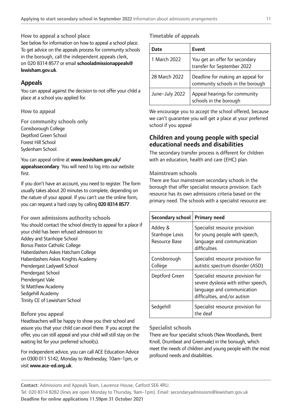## How to appeal a school place

on 020 8314 8577 or email [schooladmissionappeals@](mailto:schooladmissionappeals%40lewisham.gov.uk?subject=) See below for information on how to appeal a school place. To get advice on the appeals process for community schools in the borough, call the independent appeals clerk, [lewisham.gov.uk](mailto:schooladmissionappeals%40lewisham.gov.uk?subject=).

## Appeals

You can appeal against the decision to not offer your child a place at a school you applied for.

## How to appeal

For community schools only Conisborough College Deptford Green School Forest Hill School Sydenham School.

You can appeal online at [www.lewisham.gov.uk/](http://www.lewisham.gov.uk/appealssecondary) [appealssecondary](http://www.lewisham.gov.uk/appealssecondary). You will need to log into our website first.

If you don't have an account, you need to register. The form usually takes about 20 minutes to complete, depending on the nature of your appeal. If you can't use the online form, you can request a hard copy by calling 020 8314 8577.

For own admissions authority schools You should contact the school directly to appeal for a place if your child has been refused admission to: Addey and Stanhope School Bonus Pastor Catholic College Haberdashers Askes Hatcham College Haberdashers Askes Knights Academy Prendergast Ladywell School Prendergast School Prendergast Vale St Matthew Academy Sedgehill Academy Trinity CE of Lewisham School

## Before you appeal

Headteachers will be happy to show you their school and assure you that your child can excel there. If you accept the offer, you can still appeal and your child will still stay on the waiting list for your preferred school(s).

For independent advice, you can call ACE Education Advice on 0300 011 5142, Monday to Wednesday, 10am–1pm, or visit [www.ace-ed.org.uk](http://www.ace-ed.org.uk).

## Timetable of appeals

| Date           | Event                                                                 |
|----------------|-----------------------------------------------------------------------|
| 1 March 2022   | You get an offer for secondary<br>transfer for September 2022         |
| 28 March 2022  | Deadline for making an appeal for<br>community schools in the borough |
| June-July 2022 | Appeal hearings for community<br>schools in the borough               |

We encourage you to accept the school offered, because we can't guarantee you will get a place at your preferred school if you appeal

## Children and young people with special educational needs and disabilities

The secondary transfer process is different for children with an education, health and care (EHC) plan.

## Mainstream schools

There are four mainstream secondary schools in the borough that offer specialist resource provision. Each resource has its own admissions criteria based on the primary need. The schools with a specialist resource are:

| <b>Secondary school</b>                    | <b>Primary need</b>                                                                                                                   |
|--------------------------------------------|---------------------------------------------------------------------------------------------------------------------------------------|
| Addey &<br>Stanhope Lexis<br>Resource Base | Specialist resource provision<br>for young people with speech,<br>language and communication<br>difficulties                          |
| Conisborough<br>College                    | Specialist resource provision for<br>autistic spectrum disorder (ASD)                                                                 |
| Deptford Green                             | Specialist resource provision for<br>severe dyslexia with either speech,<br>language and communication<br>difficulties, and/or autism |
| Sedgehill                                  | Specialist resource provision for<br>the deaf                                                                                         |

## Specialist schools

There are four specialist schools (New Woodlands, Brent Knoll, Drumbeat and Greenvale) in the borough, which meet the needs of children and young people with the most profound needs and disabilities.

Contact: Admissions and Appeals Team, Laurence House, Catford SE6 4RU.

Tel: 020 8314 8282 (lines are open Monday to Thursday, 9am–1pm). Email: [secondaryadmissions@lewisham.gov.uk](mailto:secondaryadmissions%40lewisham.gov.uk?subject=) Deadline for online applications 11.59pm 31 October 2021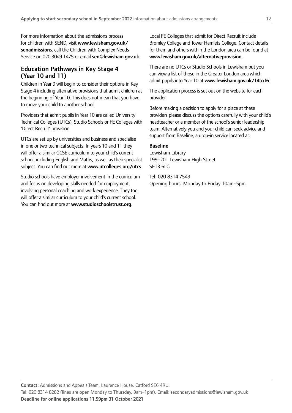For more information about the admissions process for children with SEND, visit [www.lewisham.gov.uk/](http://www.lewisham.gov.uk/senadmission)  [senadmission](http://www.lewisham.gov.uk/senadmission)s, call the Children with Complex Needs Service on 020 3049 1475 or email [sen@lewisham.gov.uk](mailto:sen%40lewisham.gov.uk?subject=).

## Education Pathways in Key Stage 4 (Year 10 and 11)

Children in Year 9 will begin to consider their options in Key Stage 4 including alternative provisions that admit children at the beginning of Year 10. This does not mean that you have to move your child to another school.

Providers that admit pupils in Year 10 are called University Technical Colleges (UTCs), Studio Schools or FE Colleges with 'Direct Recruit' provision.

UTCs are set up by universities and business and specialise in one or two technical subjects. In years 10 and 11 they will offer a similar GCSE curriculum to your child's current school, including English and Maths, as well as their specialist subject. You can find out more at [www.utcolleges.org/utcs](http://www.utcolleges.org/utcs).

Studio schools have employer involvement in the curriculum and focus on developing skills needed for employment, involving personal coaching and work experience. They too will offer a similar curriculum to your child's current school. You can find out more at [www.studioschoolstrust.org](http://www.studioschoolstrust.org).

Local FE Colleges that admit for Direct Recruit include Bromley College and Tower Hamlets College. Contact details for them and others within the London area can be found at [www.lewisham.gov.uk/alternativeprovision](http://www.lewisham.gov.uk/alternativeprovision).

There are no UTCs or Studio Schools in Lewisham but you can view a list of those in the Greater London area which admit pupils into Year 10 at [www.lewisham.gov.uk/14to16](http://www.lewisham.gov.uk/14to16).

The application process is set out on the website for each provider.

Before making a decision to apply for a place at these providers please discuss the options carefully with your child's headteacher or a member of the school's senior leadership team. Alternatively you and your child can seek advice and support from Baseline, a drop-in service located at:

## Baseline

Lewisham Library 199–201 Lewisham High Street SE13 6LG

Tel: 020 8314 7549 Opening hours: Monday to Friday 10am–5pm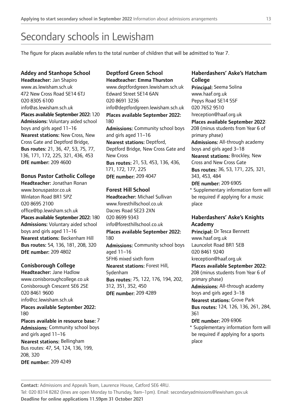## Secondary schools in Lewisham

The fgure for places available refers to the total number of children that will be admitted to Year 7.

## Addey and Stanhope School

Headteacher: Jan Shapiro <www.as.lewisham.sch.uk> 472 New Cross Road SE14 6TJ 020 8305 6100 [info@as.lewisham.sch.uk](mailto:info@as.lewisham.sch.uk) Places available September 2022: 120 Admissions: Voluntary aided school boys and girls aged 11–16 Nearest stations: New Cross, New Cross Gate and Deptford Bridge, Bus routes: 21, 36, 47, 53, 75, 77, 136, 171, 172, 225, 321, 436, 453 DfE number: 209 4600

## Bonus Pastor Catholic College

Headteacher: Jonathan Ronan <www.bonuspastor.co.uk> Winlaton Road BR1 5PZ 020 8695 2100 office@bp.lewisham.sch.uk Places available September 2022: 180 Admissions: Voluntary aided school boys and girls aged 11–16 Nearest stations: Beckenham Hill Bus routes: 54, 136, 181, 208, 320 DfE number: 209 4802

## Conisborough College

Headteacher: Jane Hadlow <www.conisboroughcollege.co.uk> Conisborough Crescent SE6 2SE 020 8461 9600 [info@cc.lewisham.sch.uk](mailto:info@cc.lewisham.sch.uk) Places available September 2022: Places available in resource base: 7 Admissions: Community school boys and girls aged 11–16 Nearest stations: Bellingham Bus routes: 47, 54, 124, 136, 199, 180

208, 320 DfE number: 209 4249

## Deptford Green School Headteacher: Emma Thurston

<www.deptfordgreen.lewisham.sch.uk> Edward Street SE14 6AN 020 8691 3236 [info@deptfordgreen.lewisham.sch.uk](mailto:info@deptfordgreen.lewisham.sch.uk)  Places available September 2022: 180 Admissions: Community school boys and girls aged 11–16 Nearest stations: Deptford, Deptford Bridge, New Cross Gate and New Cross Bus routes: 21, 53, 453, 136, 436, 171, 172, 177, 225 DfE number: 209 4047

## Forest Hill School

Headteacher: Michael Sullivan <www.foresthillschool.co.uk> Dacres Road SE23 2XN 020 8699 9343 [info@foresthillschool.co.uk](mailto:info@foresthillschool.co.uk)  Places available September 2022: 180 Admissions: Community school boys aged 11–16 SFH6 mixed sixth form Nearest stations: Forest Hill, Sydenham Bus routes: 75, 122, 176, 194, 202, 312, 351, 352, 450 DfE number: 209 4289

## Haberdashers' Aske's Hatcham College

Principal: Seema Solina <www.haaf.org.uk> Pepys Road SE14 5SF 020 7652 9510 hreception@haaf.org.uk

Places available September 2022:

208 (minus students from Year 6 of primary phase) Admissions: All-through academy

boys and girls aged 3–18

Nearest stations: Brockley, New Cross and New Cross Gate Bus routes: 36, 53, 171, 225, 321,

343, 453, 484 DfE number: 209 6905

\* Supplementary information form will be required if applying for a music place

## Haberdashers' Aske's Knights Academy

Principal: Dr Tesca Bennett <www.haaf.org.uk> Launcelot Road BR1 5EB 020 8461 9240 kreception@haaf.org.uk Places available September 2022: 208 (minus students from Year 6 of primary phase) Admissions: All-through academy boys and girls aged 3–18 Nearest stations: Grove Park Bus routes: 124, 126, 136, 261, 284,

## 361

## DfE number: 209 6906

\* Supplementary information form will be required if applying for a sports place

Contact: Admissions and Appeals Team, Laurence House, Catford SE6 4RU.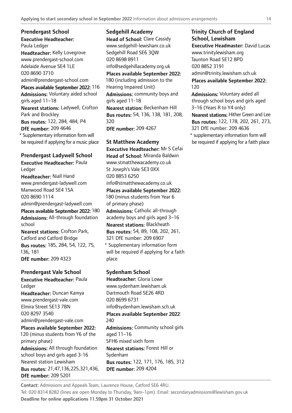Executive Headteacher: Prendergast School Paula Ledger Headteacher: Kelly Lovegrove <www.prendergast-school.com> Adelaide Avenue SE4 1LE 020 8690 3710 [admin@prendergast-school.com](mailto:admin@prendergast-school.com) Places available September 2022: 116 Admissions: Voluntary aided school girls aged 11–18 Nearest stations: Ladywell, Crofton Park and Brockley Bus routes: 122, 284, 484, P4 DfE number: 209 4646 \* Supplementary information form will be required if applying for a music place

## Prendergast Ladywell School

Executive Headteacher: Paula Ledger Headteacher: Niall Hand

<www.prendergast-ladywell.com> Manwood Road SE4 1SA 020 8690 1114 [admin@prendergast-ladywell.com](mailto:admin@prendergast-ladywell.com) 

Places available September 2022: 180 Admissions: All-through foundation school

Nearest stations: Crofton Park, Catford and Catford Bridge Bus routes: 185, 284, 54, 122, 75, 136, 181 DfE number: 209 4323

## Prendergast Vale School

Executive Headteacher: Paula Ledger Headteacher: Duncan Kamya <www.prendergast-vale.com> Elmira Street SE13 7BN 020 8297 3540 [admin@prendergast-vale.com](mailto:admin@prendergast-vale.com) 

Places available September 2022: 120 (minus students from Y6 of the primary phase) Admissions: All through foundation school boys and girls aged 3-16 Nearest station Lewisham

Bus routes: 21,47,136,225,321,436, DfE number: 209 5201

Sedgehill Academy Head of School: Clare Cassidy <www.sedgehill-lewisham.co.uk> Sedgehill Road SE6 3QW 020 8698 8911 info@sedgehillacademy.org.uk Places available September 2022: 180 (including admission to the Hearing Impaired Unit) Admissions: community boys and girls aged 11-18 Nearest station: Beckenham Hill Bus routes: 54, 136, 138, 181, 208, 320

DfE number: 209 4267

St Matthew Academy Executive Headteacher: Mr S Cefai Head of School: Miranda Baldwin <www.stmatthewacademy.co.uk> St Joseph's Vale SE3 0XX 020 8853 6250 [info@stmatthewacademy.co.uk](mailto:info@stmatthewacademy.co.uk)  Places available September 2022: 180 (minus students from Year 6 of primary phase) Admissions: Catholic all-through academy boys and girls aged 3–16 Nearest stations: Blackheath Bus routes: 54, 89, 108, 202, 261, 321 DfE number: 209 6907

\* Supplementary information form will be required if applying for a faith place

## Sydenham School Headteacher: Gloria Lowe <www.sydenham.lewisham.uk> Dartmouth Road SE26 4RD 020 8699 6731 [info@sydenham.lewisham.sch.uk](mailto:info@sydenham.lewisham.sch.uk)  Places available September 2022: 240 Admissions: Community school girls aged 11–16 SFH6 mixed sixth form Nearest stations: Forest Hill or Sydenham Bus routes: 122, 171, 176, 185, 312 DfE number: 209 4204

Contact: Admissions and Appeals Team, Laurence House, Catford SE6 4RU. Tel: 020 8314 8282 (lines are open Monday to Thursday, 9am–1pm). Email: [secondaryadmissions@lewisham.gov.uk](mailto:secondaryadmissions%40lewisham.gov.uk?subject=) Deadline for online applications 11.59pm 31 October 2021

## Trinity Church of England School, Lewisham Executive Headmaster: David Lucas <www.trinitylewisham.org> Taunton Road SE12 8PD

020 8852 3191

[admin@trinity.lewisham.sch.uk](mailto:admin@trinity.lewisham.sch.uk)

Places available September 2022: 120

Admissions: Voluntary aided all through school boys and girls aged 3–16 (Years R to Y4 only)

Nearest stations: Hither Green and Lee Bus routes: 122, 178, 202, 261, 273, 321 DfE number: 209 4636

\* supplementary information form will be required if applying for a faith place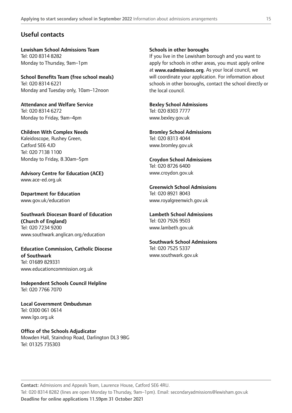## Useful contacts

Lewisham School Admissions Team Tel: 020 8314 8282 Monday to Thursday, 9am–1pm

School Benefts Team (free school meals) Tel: 020 8314 6221 Monday and Tuesday only, 10am–12noon

Attendance and Welfare Service Tel: 020 8314 6272 Monday to Friday, 9am–4pm

Children With Complex Needs Kaleidoscope, Rushey Green, Catford SE6 4JD Tel: 020 7138 1100 Monday to Friday, 8.30am–5pm

Advisory Centre for Education (ACE) <www.ace-ed.org.uk>

Department for Education <www.gov.uk/education>

Southwark Diocesan Board of Education (Church of England) Tel: 020 7234 9200 <www.southwark.anglican.org/education>

Education Commission, Catholic Diocese of Southwark Tel: 01689 829331 <www.educationcommission.org.uk>

Independent Schools Council Helpline Tel: 020 7766 7070

Local Government Ombudsman Tel: 0300 061 0614 <www.lgo.org.uk>

Office of the Schools Adjudicator Mowden Hall, Staindrop Road, Darlington DL3 9BG Tel: 01325 735303

#### Schools in other boroughs

If you live in the Lewisham borough and you want to apply for schools in other areas, you must apply online at [www.eadmissions.org](http://www.eadmissions.org). As your local council, we will coordinate your application. For information about schools in other boroughs, contact the school directly or the local council.

#### Bexley School Admissions Tel: 020 8303 7777

<www.bexley.gov.uk>

Bromley School Admissions Tel: 020 8313 4044 <www.bromley.gov.uk>

Croydon School Admissions Tel: 020 8726 6400 <www.croydon.gov.uk>

Greenwich School Admissions Tel: 020 8921 8043 <www.royalgreenwich.gov.uk>

Lambeth School Admissions Tel: 020 7926 9503 <www.lambeth.gov.uk>

Southwark School Admissions Tel: 020 7525 5337 <www.southwark.gov.uk>